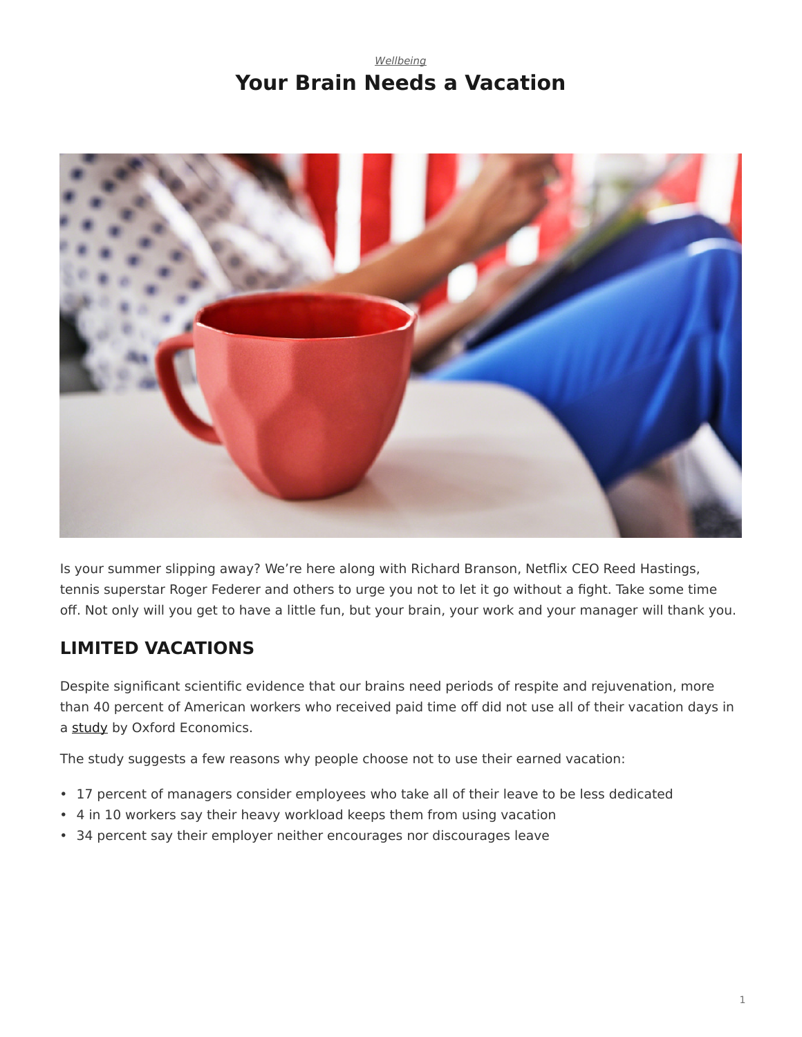## *[Wellbeing](https://www.steelcase.com/research/topics/wellbeing/)* **Your Brain Needs a Vacation**

<span id="page-0-0"></span>

Is your summer slipping away? We're here along with Richard Branson, Netflix CEO Reed Hastings, tennis superstar Roger Federer and others to urge you not to let it go without a fight. Take some time off. Not only will you get to have a little fun, but your brain, your work and your manager will thank you.

## **LIMITED VACATIONS**

Despite significant scientific evidence that our brains need periods of respite and rejuvenation, more than 40 percent of American workers who received paid time off did not use all of their vacation days in a [study](http://traveleffect.com/sites/traveleffect.com/files/Oxford_UnusedTimeOff_FullReport.pdf) by Oxford Economics.

The study suggests a few reasons why people choose not to use their earned vacation:

- 17 percent of managers consider employees who take all of their leave to be less dedicated
- 4 in 10 workers say their heavy workload keeps them from using vacation
- 34 percent say their employer neither encourages nor discourages leave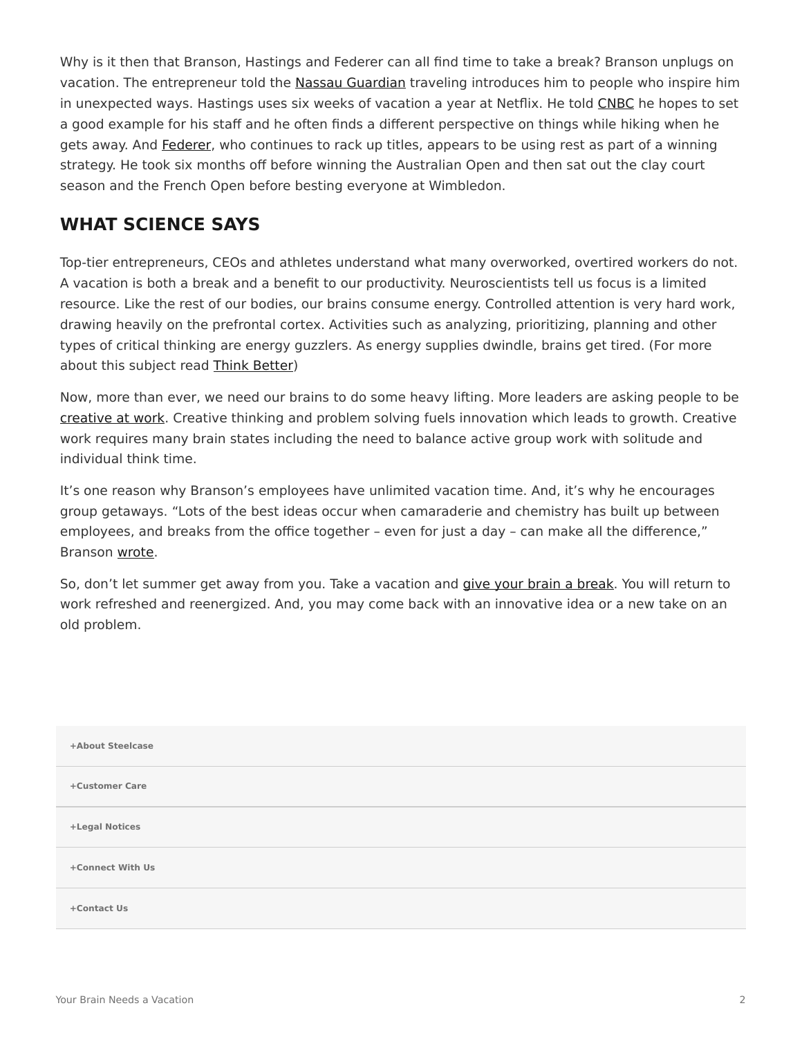Why is it then that Branson, Hastings and Federer can all find time to take a break? Branson unplugs on vacation. The entrepreneur told the [Nassau Guardian](http://www.thenassauguardian.com/index.php?option=com_content&view=article&id=41489&Itemid=2) traveling introduces him to people who inspire him in unexpected ways. Hastings uses six weeks of vacation a year at Netflix. He told [CNBC](http://www.cnbc.com/2015/11/03/netflix-ceo-reed-hastings-why-i-take-6-weeks-vacation.html) he hopes to set a good example for his staff and he often finds a different perspective on things while hiking when he gets away. And [Federer](https://www.wsj.com/articles/we-need-to-relax-like-roger-federer-1500559022?mod=e2fb&mg=prod/accounts-wsj), who continues to rack up titles, appears to be using rest as part of a winning strategy. He took six months off before winning the Australian Open and then sat out the clay court season and the French Open before besting everyone at Wimbledon.

## **WHAT SCIENCE SAYS**

Top-tier entrepreneurs, CEOs and athletes understand what many overworked, overtired workers do not. A vacation is both a break and a benefit to our productivity. Neuroscientists tell us focus is a limited resource. Like the rest of our bodies, our brains consume energy. Controlled attention is very hard work, drawing heavily on the prefrontal cortex. Activities such as analyzing, prioritizing, planning and other types of critical thinking are energy guzzlers. As energy supplies dwindle, brains get tired. (For more about this subject read [Think Better\)](https://www.steelcase.com/research/articles/think-better/)

Now, more than ever, we need our brains to do some heavy lifting. More leaders are asking people to be [creative at work.](https://www.steelcase.com/research/articles/topics/innovation/creating-conditions-for-creativity-in-the-workplace/) Creative thinking and problem solving fuels innovation which leads to growth. Creative work requires many brain states including the need to balance active group work with solitude and individual think time.

It's one reason why Branson's employees have unlimited vacation time. And, it's why he encourages group getaways. "Lots of the best ideas occur when camaraderie and chemistry has built up between employees, and breaks from the office together – even for just a day – can make all the difference," Branson [wrote](http://www.thenassauguardian.com/index.php?option=com_content&view=article&id=41489&Itemid=2).

So, don't let summer get away from you. Take a vacation and [give your brain a break.](https://www.steelcase.com/research/articles/topics/open-plan-workplace/think-better/) You will return to work refreshed and reenergized. And, you may come back with an innovative idea or a new take on an old problem.

| +About Steelcase |  |
|------------------|--|
| +Customer Care   |  |
| +Legal Notices   |  |
| +Connect With Us |  |
| +Contact Us      |  |